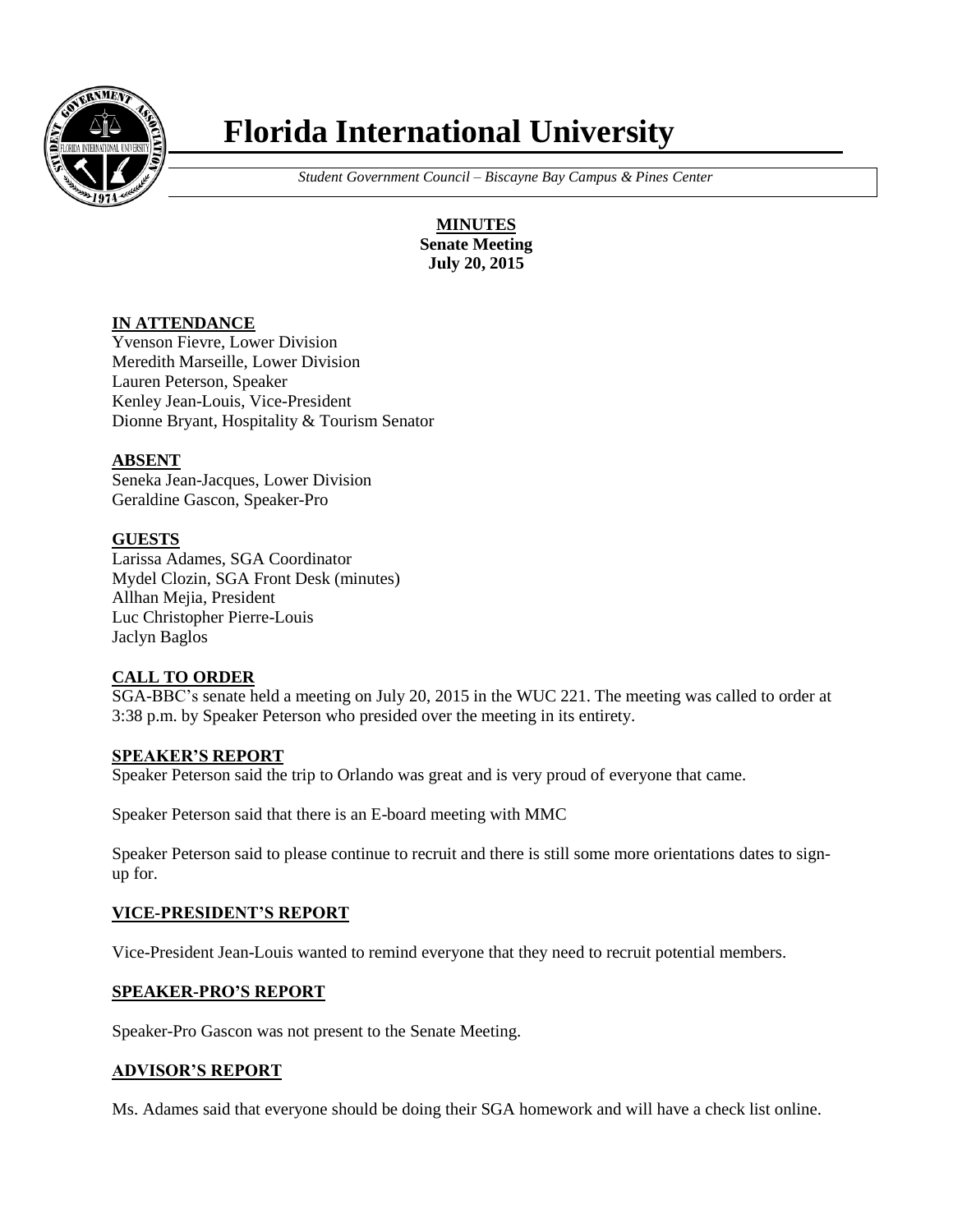

# **Florida International University**

 *Student Government Council – Biscayne Bay Campus & Pines Center*

**MINUTES Senate Meeting July 20, 2015**

# **IN ATTENDANCE**

Yvenson Fievre, Lower Division Meredith Marseille, Lower Division Lauren Peterson, Speaker Kenley Jean-Louis, Vice-President Dionne Bryant, Hospitality & Tourism Senator

# **ABSENT**

Seneka Jean-Jacques, Lower Division Geraldine Gascon, Speaker-Pro

## **GUESTS**

Larissa Adames, SGA Coordinator Mydel Clozin, SGA Front Desk (minutes) Allhan Mejia, President Luc Christopher Pierre-Louis Jaclyn Baglos

## **CALL TO ORDER**

SGA-BBC's senate held a meeting on July 20, 2015 in the WUC 221. The meeting was called to order at 3:38 p.m. by Speaker Peterson who presided over the meeting in its entirety.

## **SPEAKER'S REPORT**

Speaker Peterson said the trip to Orlando was great and is very proud of everyone that came.

Speaker Peterson said that there is an E-board meeting with MMC

Speaker Peterson said to please continue to recruit and there is still some more orientations dates to signup for.

## **VICE-PRESIDENT'S REPORT**

Vice-President Jean-Louis wanted to remind everyone that they need to recruit potential members.

## **SPEAKER-PRO'S REPORT**

Speaker-Pro Gascon was not present to the Senate Meeting.

## **ADVISOR'S REPORT**

Ms. Adames said that everyone should be doing their SGA homework and will have a check list online.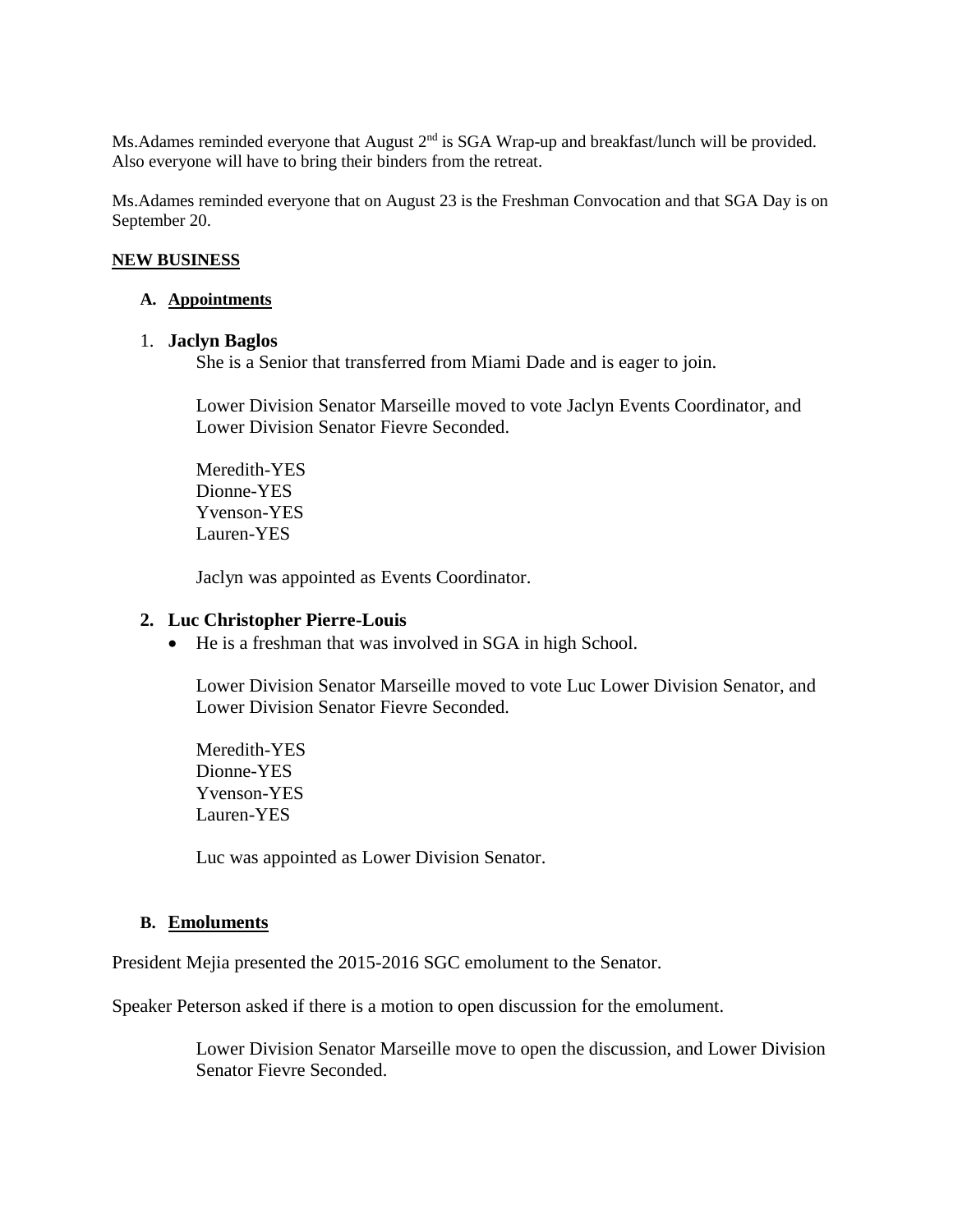Ms. Adames reminded everyone that August 2<sup>nd</sup> is SGA Wrap-up and breakfast/lunch will be provided. Also everyone will have to bring their binders from the retreat.

Ms.Adames reminded everyone that on August 23 is the Freshman Convocation and that SGA Day is on September 20.

#### **NEW BUSINESS**

#### **A. Appointments**

#### 1. **Jaclyn Baglos**

She is a Senior that transferred from Miami Dade and is eager to join.

Lower Division Senator Marseille moved to vote Jaclyn Events Coordinator, and Lower Division Senator Fievre Seconded.

Meredith-YES Dionne-YES Yvenson-YES Lauren-YES

Jaclyn was appointed as Events Coordinator.

#### **2. Luc Christopher Pierre-Louis**

He is a freshman that was involved in SGA in high School.

Lower Division Senator Marseille moved to vote Luc Lower Division Senator, and Lower Division Senator Fievre Seconded.

Meredith-YES Dionne-YES Yvenson-YES Lauren-YES

Luc was appointed as Lower Division Senator.

## **B. Emoluments**

President Mejia presented the 2015-2016 SGC emolument to the Senator.

Speaker Peterson asked if there is a motion to open discussion for the emolument.

Lower Division Senator Marseille move to open the discussion, and Lower Division Senator Fievre Seconded.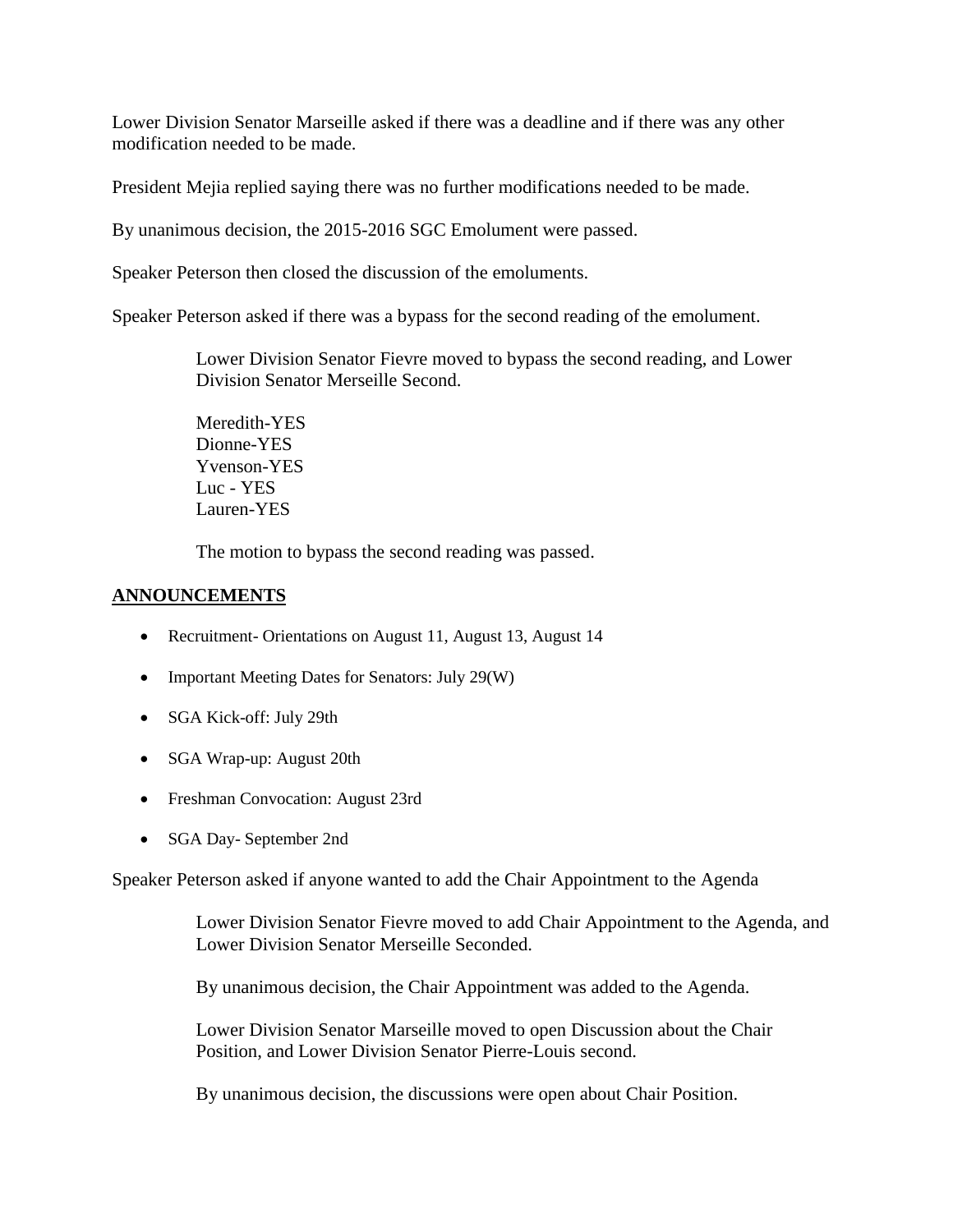Lower Division Senator Marseille asked if there was a deadline and if there was any other modification needed to be made.

President Mejia replied saying there was no further modifications needed to be made.

By unanimous decision, the 2015-2016 SGC Emolument were passed.

Speaker Peterson then closed the discussion of the emoluments.

Speaker Peterson asked if there was a bypass for the second reading of the emolument.

Lower Division Senator Fievre moved to bypass the second reading, and Lower Division Senator Merseille Second.

Meredith-YES Dionne-YES Yvenson-YES Luc - YES Lauren-YES

The motion to bypass the second reading was passed.

# **ANNOUNCEMENTS**

- Recruitment- Orientations on August 11, August 13, August 14
- Important Meeting Dates for Senators: July 29(W)
- SGA Kick-off: July 29th
- SGA Wrap-up: August 20th
- Freshman Convocation: August 23rd
- SGA Day- September 2nd

Speaker Peterson asked if anyone wanted to add the Chair Appointment to the Agenda

Lower Division Senator Fievre moved to add Chair Appointment to the Agenda, and Lower Division Senator Merseille Seconded.

By unanimous decision, the Chair Appointment was added to the Agenda.

Lower Division Senator Marseille moved to open Discussion about the Chair Position, and Lower Division Senator Pierre-Louis second.

By unanimous decision, the discussions were open about Chair Position.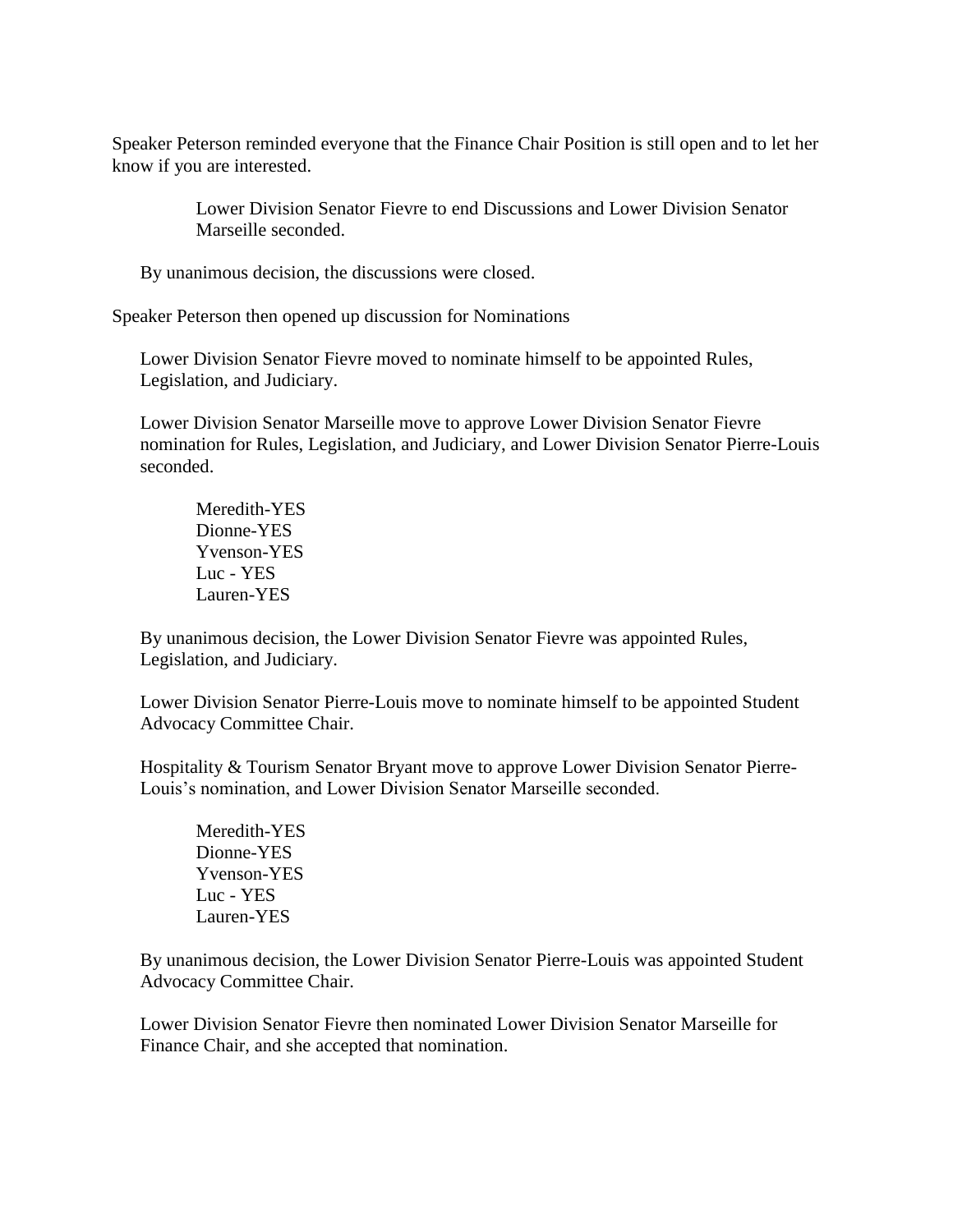Speaker Peterson reminded everyone that the Finance Chair Position is still open and to let her know if you are interested.

> Lower Division Senator Fievre to end Discussions and Lower Division Senator Marseille seconded.

By unanimous decision, the discussions were closed.

Speaker Peterson then opened up discussion for Nominations

Lower Division Senator Fievre moved to nominate himself to be appointed Rules, Legislation, and Judiciary.

Lower Division Senator Marseille move to approve Lower Division Senator Fievre nomination for Rules, Legislation, and Judiciary, and Lower Division Senator Pierre-Louis seconded.

Meredith-YES Dionne-YES Yvenson-YES Luc - YES Lauren-YES

By unanimous decision, the Lower Division Senator Fievre was appointed Rules, Legislation, and Judiciary.

Lower Division Senator Pierre-Louis move to nominate himself to be appointed Student Advocacy Committee Chair.

Hospitality & Tourism Senator Bryant move to approve Lower Division Senator Pierre-Louis's nomination, and Lower Division Senator Marseille seconded.

Meredith-YES Dionne-YES Yvenson-YES Luc - YES Lauren-YES

By unanimous decision, the Lower Division Senator Pierre-Louis was appointed Student Advocacy Committee Chair.

Lower Division Senator Fievre then nominated Lower Division Senator Marseille for Finance Chair, and she accepted that nomination.